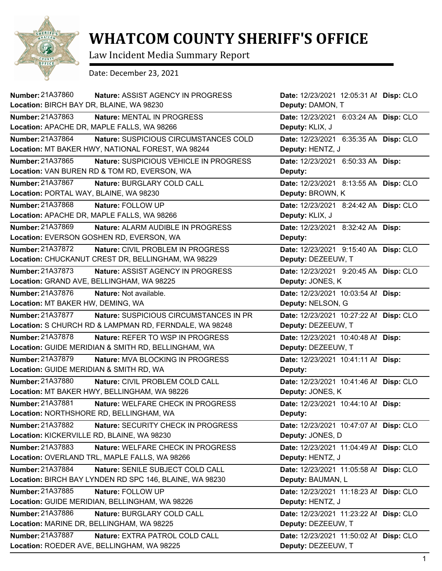

## **WHATCOM COUNTY SHERIFF'S OFFICE**

Law Incident Media Summary Report

Date: December 23, 2021

| Number: 21A37860<br><b>Nature: ASSIST AGENCY IN PROGRESS</b>       | Date: 12/23/2021 12:05:31 Al Disp: CLO |  |
|--------------------------------------------------------------------|----------------------------------------|--|
| Location: BIRCH BAY DR, BLAINE, WA 98230                           | Deputy: DAMON, T                       |  |
| Number: 21A37863<br>Nature: MENTAL IN PROGRESS                     | Date: 12/23/2021 6:03:24 AN Disp: CLO  |  |
| Location: APACHE DR, MAPLE FALLS, WA 98266                         | Deputy: KLIX, J                        |  |
| Number: 21A37864<br>Nature: SUSPICIOUS CIRCUMSTANCES COLD          | Date: 12/23/2021 6:35:35 AN Disp: CLO  |  |
| Location: MT BAKER HWY, NATIONAL FOREST, WA 98244                  | Deputy: HENTZ, J                       |  |
| Number: 21A37865<br>Nature: SUSPICIOUS VEHICLE IN PROGRESS         | Date: 12/23/2021 6:50:33 AN Disp:      |  |
| Location: VAN BUREN RD & TOM RD, EVERSON, WA                       | Deputy:                                |  |
| Number: 21A37867<br>Nature: BURGLARY COLD CALL                     | Date: 12/23/2021 8:13:55 AN Disp: CLO  |  |
| Location: PORTAL WAY, BLAINE, WA 98230                             | Deputy: BROWN, K                       |  |
| Number: 21A37868<br>Nature: FOLLOW UP                              | Date: 12/23/2021 8:24:42 AN Disp: CLO  |  |
| Location: APACHE DR, MAPLE FALLS, WA 98266                         | Deputy: KLIX, J                        |  |
| Number: 21A37869<br>Nature: ALARM AUDIBLE IN PROGRESS              | Date: 12/23/2021 8:32:42 AN Disp:      |  |
| Location: EVERSON GOSHEN RD, EVERSON, WA                           | Deputy:                                |  |
| Number: 21A37872<br>Nature: CIVIL PROBLEM IN PROGRESS              | Date: 12/23/2021 9:15:40 AN Disp: CLO  |  |
| Location: CHUCKANUT CREST DR, BELLINGHAM, WA 98229                 | Deputy: DEZEEUW, T                     |  |
| Number: 21A37873<br><b>Nature: ASSIST AGENCY IN PROGRESS</b>       | Date: 12/23/2021 9:20:45 AN Disp: CLO  |  |
| Location: GRAND AVE, BELLINGHAM, WA 98225                          | Deputy: JONES, K                       |  |
| Number: 21A37876<br>Nature: Not available.                         | Date: 12/23/2021 10:03:54 Al Disp:     |  |
| Location: MT BAKER HW, DEMING, WA                                  | Deputy: NELSON, G                      |  |
| Number: 21A37877<br>Nature: SUSPICIOUS CIRCUMSTANCES IN PR         | Date: 12/23/2021 10:27:22 Al Disp: CLO |  |
| Location: S CHURCH RD & LAMPMAN RD, FERNDALE, WA 98248             | Deputy: DEZEEUW, T                     |  |
| <b>Number: 21A37878</b><br><b>Nature: REFER TO WSP IN PROGRESS</b> | Date: 12/23/2021 10:40:48 Al Disp:     |  |
| Location: GUIDE MERIDIAN & SMITH RD, BELLINGHAM, WA                | Deputy: DEZEEUW, T                     |  |
| Number: 21A37879<br>Nature: MVA BLOCKING IN PROGRESS               | Date: 12/23/2021 10:41:11 Al Disp:     |  |
| Location: GUIDE MERIDIAN & SMITH RD, WA                            | Deputy:                                |  |
| <b>Number: 21A37880</b><br>Nature: CIVIL PROBLEM COLD CALL         | Date: 12/23/2021 10:41:46 Al Disp: CLO |  |
| Location: MT BAKER HWY, BELLINGHAM, WA 98226                       | Deputy: JONES, K                       |  |
| Number: 21A37881<br>Nature: WELFARE CHECK IN PROGRESS              | Date: 12/23/2021 10:44:10 Al Disp:     |  |
| Location: NORTHSHORE RD, BELLINGHAM, WA                            | Deputy:                                |  |
| Number: 21A37882<br>Nature: SECURITY CHECK IN PROGRESS             | Date: 12/23/2021 10:47:07 Al Disp: CLO |  |
| Location: KICKERVILLE RD, BLAINE, WA 98230                         | Deputy: JONES, D                       |  |
| Number: 21A37883<br>Nature: WELFARE CHECK IN PROGRESS              | Date: 12/23/2021 11:04:49 Al Disp: CLO |  |
| Location: OVERLAND TRL, MAPLE FALLS, WA 98266                      | Deputy: HENTZ, J                       |  |
| Number: 21A37884<br>Nature: SENILE SUBJECT COLD CALL               | Date: 12/23/2021 11:05:58 Al Disp: CLO |  |
| Location: BIRCH BAY LYNDEN RD SPC 146, BLAINE, WA 98230            | Deputy: BAUMAN, L                      |  |
| Number: 21A37885<br>Nature: FOLLOW UP                              | Date: 12/23/2021 11:18:23 Al Disp: CLO |  |
| Location: GUIDE MERIDIAN, BELLINGHAM, WA 98226                     | Deputy: HENTZ, J                       |  |
| Number: 21A37886<br>Nature: BURGLARY COLD CALL                     | Date: 12/23/2021 11:23:22 Al Disp: CLO |  |
| Location: MARINE DR, BELLINGHAM, WA 98225                          | Deputy: DEZEEUW, T                     |  |
| Number: 21A37887<br>Nature: EXTRA PATROL COLD CALL                 | Date: 12/23/2021 11:50:02 Al Disp: CLO |  |
| Location: ROEDER AVE, BELLINGHAM, WA 98225                         | Deputy: DEZEEUW, T                     |  |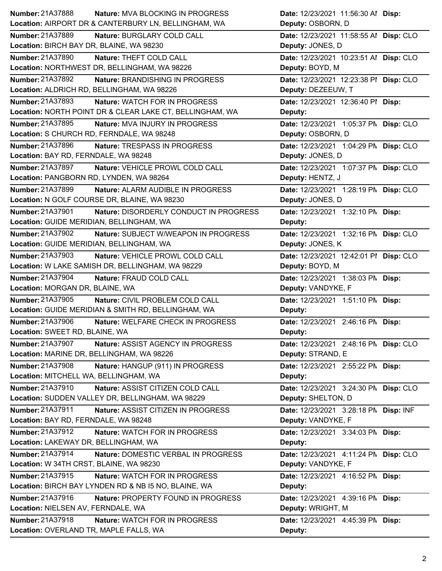| <b>Number: 21A37888</b><br><b>Nature: MVA BLOCKING IN PROGRESS</b>  | Date: 12/23/2021 11:56:30 Al Disp:     |
|---------------------------------------------------------------------|----------------------------------------|
| Location: AIRPORT DR & CANTERBURY LN, BELLINGHAM, WA                | Deputy: OSBORN, D                      |
| <b>Number: 21A37889</b><br>Nature: BURGLARY COLD CALL               | Date: 12/23/2021 11:58:55 Al Disp: CLO |
| Location: BIRCH BAY DR, BLAINE, WA 98230                            | Deputy: JONES, D                       |
| Number: 21A37890<br>Nature: THEFT COLD CALL                         | Date: 12/23/2021 10:23:51 Al Disp: CLO |
| Location: NORTHWEST DR, BELLINGHAM, WA 98226                        | Deputy: BOYD, M                        |
| <b>Number: 21A37892</b><br><b>Nature: BRANDISHING IN PROGRESS</b>   | Date: 12/23/2021 12:23:38 PI Disp: CLO |
| Location: ALDRICH RD, BELLINGHAM, WA 98226                          | Deputy: DEZEEUW, T                     |
| <b>Number: 21A37893</b><br>Nature: WATCH FOR IN PROGRESS            | Date: 12/23/2021 12:36:40 PI Disp:     |
| Location: NORTH POINT DR & CLEAR LAKE CT, BELLINGHAM, WA            | Deputy:                                |
| Number: 21A37895<br>Nature: MVA INJURY IN PROGRESS                  | Date: 12/23/2021 1:05:37 PN Disp: CLO  |
| Location: S CHURCH RD, FERNDALE, WA 98248                           | Deputy: OSBORN, D                      |
| Number: 21A37896<br>Nature: TRESPASS IN PROGRESS                    | Date: 12/23/2021 1:04:29 PN Disp: CLO  |
| Location: BAY RD, FERNDALE, WA 98248                                | Deputy: JONES, D                       |
| Number: 21A37897<br>Nature: VEHICLE PROWL COLD CALL                 | Date: 12/23/2021 1:07:37 PM Disp: CLO  |
| Location: PANGBORN RD, LYNDEN, WA 98264                             | Deputy: HENTZ, J                       |
| Number: 21A37899<br>Nature: ALARM AUDIBLE IN PROGRESS               | Date: 12/23/2021 1:28:19 PM Disp: CLO  |
| Location: N GOLF COURSE DR, BLAINE, WA 98230                        | Deputy: JONES, D                       |
| Number: 21A37901<br>Nature: DISORDERLY CONDUCT IN PROGRESS          | Date: 12/23/2021 1:32:10 PM Disp:      |
| Location: GUIDE MERIDIAN, BELLINGHAM, WA                            | Deputy:                                |
| Number: 21A37902<br>Nature: SUBJECT W/WEAPON IN PROGRESS            | Date: 12/23/2021 1:32:16 PN Disp: CLO  |
| Location: GUIDE MERIDIAN, BELLINGHAM, WA                            | Deputy: JONES, K                       |
| Number: 21A37903<br>Nature: VEHICLE PROWL COLD CALL                 | Date: 12/23/2021 12:42:01 PI Disp: CLO |
| Location: W LAKE SAMISH DR, BELLINGHAM, WA 98229                    | Deputy: BOYD, M                        |
| <b>Number: 21A37904</b><br>Nature: FRAUD COLD CALL                  | Date: 12/23/2021 1:38:03 PM Disp:      |
|                                                                     |                                        |
| Location: MORGAN DR, BLAINE, WA                                     | Deputy: VANDYKE, F                     |
| Number: 21A37905<br>Nature: CIVIL PROBLEM COLD CALL                 | Date: 12/23/2021 1:51:10 PM Disp:      |
| Location: GUIDE MERIDIAN & SMITH RD, BELLINGHAM, WA                 | Deputy:                                |
| Number: 21A37906<br>Nature: WELFARE CHECK IN PROGRESS               | Date: 12/23/2021 2:46:16 PM Disp:      |
| Location: SWEET RD, BLAINE, WA                                      | Deputy:                                |
| <b>Number: 21A37907</b><br><b>Nature: ASSIST AGENCY IN PROGRESS</b> | Date: 12/23/2021 2:48:16 PM Disp: CLO  |
| Location: MARINE DR, BELLINGHAM, WA 98226                           | Deputy: STRAND, E                      |
| Number: 21A37908<br>Nature: HANGUP (911) IN PROGRESS                | Date: 12/23/2021 2:55:22 PM Disp:      |
| Location: MITCHELL WA, BELLINGHAM, WA                               | Deputy:                                |
| Number: 21A37910<br>Nature: ASSIST CITIZEN COLD CALL                | Date: 12/23/2021 3:24:30 PN Disp: CLO  |
| Location: SUDDEN VALLEY DR, BELLINGHAM, WA 98229                    | Deputy: SHELTON, D                     |
| Number: 21A37911<br>Nature: ASSIST CITIZEN IN PROGRESS              | Date: 12/23/2021 3:28:18 PN Disp: INF  |
| Location: BAY RD, FERNDALE, WA 98248                                | Deputy: VANDYKE, F                     |
| Number: 21A37912<br>Nature: WATCH FOR IN PROGRESS                   | Date: 12/23/2021 3:34:03 PM Disp:      |
| Location: LAKEWAY DR, BELLINGHAM, WA                                | Deputy:                                |
| <b>Number: 21A37914</b><br>Nature: DOMESTIC VERBAL IN PROGRESS      | Date: 12/23/2021 4:11:24 PM Disp: CLO  |
| Location: W 34TH CRST, BLAINE, WA 98230                             | Deputy: VANDYKE, F                     |
| Number: 21A37915<br>Nature: WATCH FOR IN PROGRESS                   | Date: 12/23/2021 4:16:52 PM Disp:      |
| Location: BIRCH BAY LYNDEN RD & NB I5 NO, BLAINE, WA                | Deputy:                                |
| Number: 21A37916<br>Nature: PROPERTY FOUND IN PROGRESS              | Date: 12/23/2021 4:39:16 PM Disp:      |
| Location: NIELSEN AV, FERNDALE, WA                                  | Deputy: WRIGHT, M                      |
| Number: 21A37918<br>Nature: WATCH FOR IN PROGRESS                   | Date: 12/23/2021 4:45:39 PM Disp:      |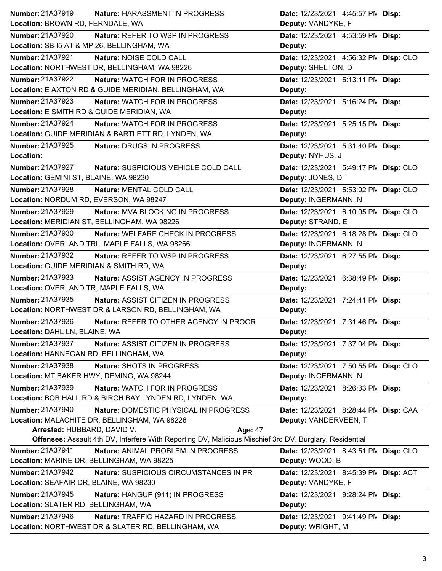| Number: 21A37919<br>Nature: HARASSMENT IN PROGRESS                                                           | Date: 12/23/2021 4:45:57 PM Disp:     |
|--------------------------------------------------------------------------------------------------------------|---------------------------------------|
| Location: BROWN RD, FERNDALE, WA                                                                             | Deputy: VANDYKE, F                    |
| Number: 21A37920<br>Nature: REFER TO WSP IN PROGRESS                                                         | Date: 12/23/2021 4:53:59 PM Disp:     |
| Location: SB I5 AT & MP 26, BELLINGHAM, WA                                                                   | Deputy:                               |
| Number: 21A37921<br>Nature: NOISE COLD CALL                                                                  | Date: 12/23/2021 4:56:32 PN Disp: CLO |
| Location: NORTHWEST DR, BELLINGHAM, WA 98226                                                                 | Deputy: SHELTON, D                    |
| <b>Number: 21A37922</b><br>Nature: WATCH FOR IN PROGRESS                                                     | Date: 12/23/2021 5:13:11 PM Disp:     |
| Location: E AXTON RD & GUIDE MERIDIAN, BELLINGHAM, WA                                                        | Deputy:                               |
| <b>Number: 21A37923</b><br><b>Nature: WATCH FOR IN PROGRESS</b>                                              | Date: 12/23/2021 5:16:24 PM Disp:     |
| Location: E SMITH RD & GUIDE MERIDIAN, WA                                                                    | Deputy:                               |
| Number: 21A37924<br>Nature: WATCH FOR IN PROGRESS                                                            | Date: 12/23/2021 5:25:15 PM Disp:     |
| Location: GUIDE MERIDIAN & BARTLETT RD, LYNDEN, WA                                                           | Deputy:                               |
| Number: 21A37925<br>Nature: DRUGS IN PROGRESS                                                                | Date: 12/23/2021 5:31:40 PM Disp:     |
| Location:                                                                                                    | Deputy: NYHUS, J                      |
| Number: 21A37927<br>Nature: SUSPICIOUS VEHICLE COLD CALL                                                     | Date: 12/23/2021 5:49:17 PM Disp: CLO |
| Location: GEMINI ST, BLAINE, WA 98230                                                                        | Deputy: JONES, D                      |
| Number: 21A37928<br>Nature: MENTAL COLD CALL                                                                 | Date: 12/23/2021 5:53:02 PN Disp: CLO |
| Location: NORDUM RD, EVERSON, WA 98247                                                                       | Deputy: INGERMANN, N                  |
| Number: 21A37929<br>Nature: MVA BLOCKING IN PROGRESS                                                         | Date: 12/23/2021 6:10:05 PN Disp: CLO |
| Location: MERIDIAN ST, BELLINGHAM, WA 98226                                                                  | Deputy: STRAND, E                     |
| Number: 21A37930<br>Nature: WELFARE CHECK IN PROGRESS                                                        | Date: 12/23/2021 6:18:28 PN Disp: CLO |
| Location: OVERLAND TRL, MAPLE FALLS, WA 98266                                                                | Deputy: INGERMANN, N                  |
| Number: 21A37932<br>Nature: REFER TO WSP IN PROGRESS                                                         | Date: 12/23/2021 6:27:55 PM Disp:     |
| Location: GUIDE MERIDIAN & SMITH RD, WA                                                                      | Deputy:                               |
| Number: 21A37933<br>Nature: ASSIST AGENCY IN PROGRESS                                                        | Date: 12/23/2021 6:38:49 PM Disp:     |
| Location: OVERLAND TR, MAPLE FALLS, WA                                                                       | Deputy:                               |
| Number: 21A37935<br>Nature: ASSIST CITIZEN IN PROGRESS                                                       | Date: 12/23/2021 7:24:41 PM Disp:     |
| Location: NORTHWEST DR & LARSON RD, BELLINGHAM, WA                                                           | Deputy:                               |
| Number: 21A37936<br>Nature: REFER TO OTHER AGENCY IN PROGR                                                   | Date: 12/23/2021 7:31:46 PM Disp:     |
| Location: DAHL LN, BLAINE, WA                                                                                | Deputy:                               |
| <b>Number: 21A37937</b><br>Nature: ASSIST CITIZEN IN PROGRESS                                                | Date: 12/23/2021 7:37:04 PM Disp:     |
| Location: HANNEGAN RD, BELLINGHAM, WA                                                                        | Deputy:                               |
| Number: 21A37938<br>Nature: SHOTS IN PROGRESS                                                                | Date: 12/23/2021 7:50:55 PM Disp: CLO |
| Location: MT BAKER HWY, DEMING, WA 98244                                                                     | Deputy: INGERMANN, N                  |
| Number: 21A37939<br>Nature: WATCH FOR IN PROGRESS                                                            | Date: 12/23/2021 8:26:33 PM Disp:     |
| Location: BOB HALL RD & BIRCH BAY LYNDEN RD, LYNDEN, WA                                                      | Deputy:                               |
| Number: 21A37940<br>Nature: DOMESTIC PHYSICAL IN PROGRESS                                                    | Date: 12/23/2021 8:28:44 PM Disp: CAA |
| Location: MALACHITE DR, BELLINGHAM, WA 98226                                                                 | Deputy: VANDERVEEN, T                 |
| Arrested: HUBBARD, DAVID V.<br><b>Age: 47</b>                                                                |                                       |
| Offenses: Assault 4th DV, Interfere With Reporting DV, Malicious Mischief 3rd DV, Burglary, Residential      |                                       |
| Number: 21A37941<br>Nature: ANIMAL PROBLEM IN PROGRESS                                                       |                                       |
|                                                                                                              | Date: 12/23/2021 8:43:51 PM Disp: CLO |
| Location: MARINE DR, BELLINGHAM, WA 98225                                                                    | Deputy: WOOD, B                       |
| Number: 21A37942<br>Nature: SUSPICIOUS CIRCUMSTANCES IN PR                                                   | Date: 12/23/2021 8:45:39 PM Disp: ACT |
| Location: SEAFAIR DR, BLAINE, WA 98230                                                                       | Deputy: VANDYKE, F                    |
| Number: 21A37945<br>Nature: HANGUP (911) IN PROGRESS                                                         | Date: 12/23/2021 9:28:24 PM Disp:     |
| Location: SLATER RD, BELLINGHAM, WA                                                                          | Deputy:                               |
| Number: 21A37946<br>Nature: TRAFFIC HAZARD IN PROGRESS<br>Location: NORTHWEST DR & SLATER RD, BELLINGHAM, WA | Date: 12/23/2021 9:41:49 PM Disp:     |